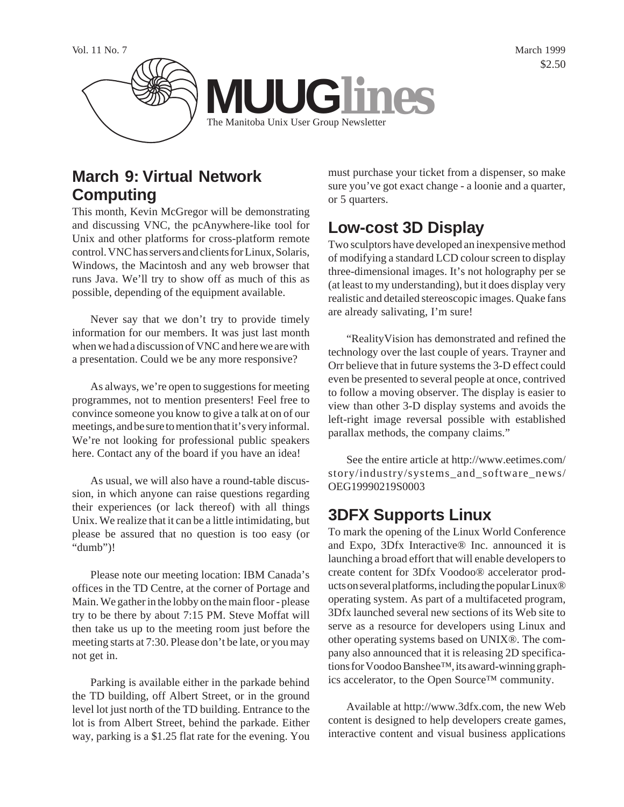

**March 9: Virtual Network Computing**

This month, Kevin McGregor will be demonstrating and discussing VNC, the pcAnywhere-like tool for Unix and other platforms for cross-platform remote control. VNC has servers and clients for Linux, Solaris, Windows, the Macintosh and any web browser that runs Java. We'll try to show off as much of this as possible, depending of the equipment available.

Never say that we don't try to provide timely information for our members. It was just last month when we had a discussion of VNC and here we are with a presentation. Could we be any more responsive?

As always, we're open to suggestions for meeting programmes, not to mention presenters! Feel free to convince someone you know to give a talk at on of our meetings, and be sure to mention that it's very informal. We're not looking for professional public speakers here. Contact any of the board if you have an idea!

As usual, we will also have a round-table discussion, in which anyone can raise questions regarding their experiences (or lack thereof) with all things Unix. We realize that it can be a little intimidating, but please be assured that no question is too easy (or "dumb")!

Please note our meeting location: IBM Canada's offices in the TD Centre, at the corner of Portage and Main. We gather in the lobby on the main floor - please try to be there by about 7:15 PM. Steve Moffat will then take us up to the meeting room just before the meeting starts at 7:30. Please don't be late, or you may not get in.

Parking is available either in the parkade behind the TD building, off Albert Street, or in the ground level lot just north of the TD building. Entrance to the lot is from Albert Street, behind the parkade. Either way, parking is a \$1.25 flat rate for the evening. You

must purchase your ticket from a dispenser, so make sure you've got exact change - a loonie and a quarter, or 5 quarters.

## **Low-cost 3D Display**

Two sculptors have developed an inexpensive method of modifying a standard LCD colour screen to display three-dimensional images. It's not holography per se (at least to my understanding), but it does display very realistic and detailed stereoscopic images. Quake fans are already salivating, I'm sure!

"RealityVision has demonstrated and refined the technology over the last couple of years. Trayner and Orr believe that in future systems the 3-D effect could even be presented to several people at once, contrived to follow a moving observer. The display is easier to view than other 3-D display systems and avoids the left-right image reversal possible with established parallax methods, the company claims."

See the entire article at http://www.eetimes.com/ story/industry/systems\_and\_software\_news/ OEG19990219S0003

### **3DFX Supports Linux**

To mark the opening of the Linux World Conference and Expo, 3Dfx Interactive® Inc. announced it is launching a broad effort that will enable developers to create content for 3Dfx Voodoo® accelerator products on several platforms, including the popular Linux® operating system. As part of a multifaceted program, 3Dfx launched several new sections of its Web site to serve as a resource for developers using Linux and other operating systems based on UNIX®. The company also announced that it is releasing 2D specifications for Voodoo Banshee™, its award-winning graphics accelerator, to the Open Source™ community.

Available at http://www.3dfx.com, the new Web content is designed to help developers create games, interactive content and visual business applications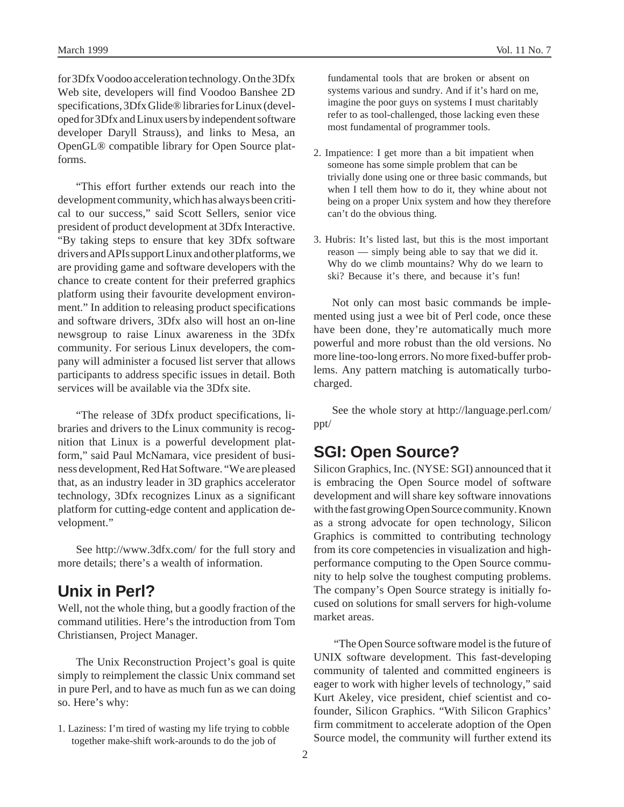for 3Dfx Voodoo acceleration technology. On the 3Dfx Web site, developers will find Voodoo Banshee 2D specifications, 3Dfx Glide® libraries for Linux (developed for 3Dfx and Linux users by independent software developer Daryll Strauss), and links to Mesa, an OpenGL® compatible library for Open Source platforms.

"This effort further extends our reach into the development community, which has always been critical to our success," said Scott Sellers, senior vice president of product development at 3Dfx Interactive. "By taking steps to ensure that key 3Dfx software drivers and APIs support Linux and other platforms, we are providing game and software developers with the chance to create content for their preferred graphics platform using their favourite development environment." In addition to releasing product specifications and software drivers, 3Dfx also will host an on-line newsgroup to raise Linux awareness in the 3Dfx community. For serious Linux developers, the company will administer a focused list server that allows participants to address specific issues in detail. Both services will be available via the 3Dfx site.

"The release of 3Dfx product specifications, libraries and drivers to the Linux community is recognition that Linux is a powerful development platform," said Paul McNamara, vice president of business development, Red Hat Software. "We are pleased that, as an industry leader in 3D graphics accelerator technology, 3Dfx recognizes Linux as a significant platform for cutting-edge content and application development."

See http://www.3dfx.com/ for the full story and more details; there's a wealth of information.

#### **Unix in Perl?**

Well, not the whole thing, but a goodly fraction of the command utilities. Here's the introduction from Tom Christiansen, Project Manager.

The Unix Reconstruction Project's goal is quite simply to reimplement the classic Unix command set in pure Perl, and to have as much fun as we can doing so. Here's why:

1. Laziness: I'm tired of wasting my life trying to cobble together make-shift work-arounds to do the job of

fundamental tools that are broken or absent on systems various and sundry. And if it's hard on me, imagine the poor guys on systems I must charitably refer to as tool-challenged, those lacking even these most fundamental of programmer tools.

- 2. Impatience: I get more than a bit impatient when someone has some simple problem that can be trivially done using one or three basic commands, but when I tell them how to do it, they whine about not being on a proper Unix system and how they therefore can't do the obvious thing.
- 3. Hubris: It's listed last, but this is the most important reason — simply being able to say that we did it. Why do we climb mountains? Why do we learn to ski? Because it's there, and because it's fun!

Not only can most basic commands be implemented using just a wee bit of Perl code, once these have been done, they're automatically much more powerful and more robust than the old versions. No more line-too-long errors. No more fixed-buffer problems. Any pattern matching is automatically turbocharged.

See the whole story at http://language.perl.com/ ppt/

#### **SGI: Open Source?**

Silicon Graphics, Inc. (NYSE: SGI) announced that it is embracing the Open Source model of software development and will share key software innovations with the fast growing Open Source community. Known as a strong advocate for open technology, Silicon Graphics is committed to contributing technology from its core competencies in visualization and highperformance computing to the Open Source community to help solve the toughest computing problems. The company's Open Source strategy is initially focused on solutions for small servers for high-volume market areas.

 "The Open Source software model is the future of UNIX software development. This fast-developing community of talented and committed engineers is eager to work with higher levels of technology," said Kurt Akeley, vice president, chief scientist and cofounder, Silicon Graphics. "With Silicon Graphics' firm commitment to accelerate adoption of the Open Source model, the community will further extend its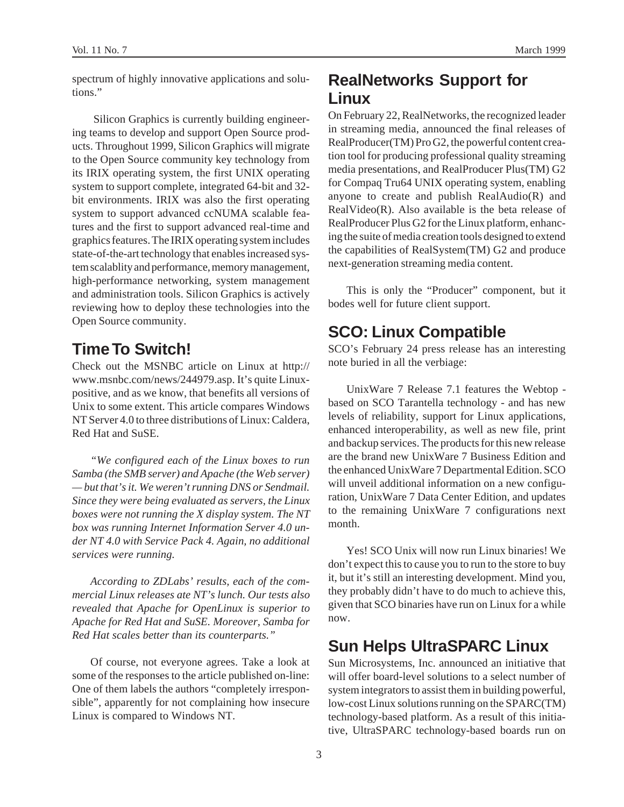spectrum of highly innovative applications and solutions."

 Silicon Graphics is currently building engineering teams to develop and support Open Source products. Throughout 1999, Silicon Graphics will migrate to the Open Source community key technology from its IRIX operating system, the first UNIX operating system to support complete, integrated 64-bit and 32 bit environments. IRIX was also the first operating system to support advanced ccNUMA scalable features and the first to support advanced real-time and graphics features. The IRIX operating system includes state-of-the-art technology that enables increased system scalablity and performance, memory management, high-performance networking, system management and administration tools. Silicon Graphics is actively reviewing how to deploy these technologies into the Open Source community.

# **Time To Switch!**

Check out the MSNBC article on Linux at http:// www.msnbc.com/news/244979.asp. It's quite Linuxpositive, and as we know, that benefits all versions of Unix to some extent. This article compares Windows NT Server 4.0 to three distributions of Linux: Caldera, Red Hat and SuSE.

*"We configured each of the Linux boxes to run Samba (the SMB server) and Apache (the Web server) — but that's it. We weren't running DNS or Sendmail. Since they were being evaluated as servers, the Linux boxes were not running the X display system. The NT box was running Internet Information Server 4.0 under NT 4.0 with Service Pack 4. Again, no additional services were running.*

*According to ZDLabs' results, each of the commercial Linux releases ate NT's lunch. Our tests also revealed that Apache for OpenLinux is superior to Apache for Red Hat and SuSE. Moreover, Samba for Red Hat scales better than its counterparts."*

Of course, not everyone agrees. Take a look at some of the responses to the article published on-line: One of them labels the authors "completely irresponsible", apparently for not complaining how insecure Linux is compared to Windows NT.

## **RealNetworks Support for Linux**

On February 22, RealNetworks, the recognized leader in streaming media, announced the final releases of RealProducer(TM) Pro G2, the powerful content creation tool for producing professional quality streaming media presentations, and RealProducer Plus(TM) G2 for Compaq Tru64 UNIX operating system, enabling anyone to create and publish RealAudio(R) and RealVideo(R). Also available is the beta release of RealProducer Plus G2 for the Linux platform, enhancing the suite of media creation tools designed to extend the capabilities of RealSystem(TM) G2 and produce next-generation streaming media content.

This is only the "Producer" component, but it bodes well for future client support.

### **SCO: Linux Compatible**

SCO's February 24 press release has an interesting note buried in all the verbiage:

UnixWare 7 Release 7.1 features the Webtop based on SCO Tarantella technology - and has new levels of reliability, support for Linux applications, enhanced interoperability, as well as new file, print and backup services. The products for this new release are the brand new UnixWare 7 Business Edition and the enhanced UnixWare 7 Departmental Edition. SCO will unveil additional information on a new configuration, UnixWare 7 Data Center Edition, and updates to the remaining UnixWare 7 configurations next month.

Yes! SCO Unix will now run Linux binaries! We don't expect this to cause you to run to the store to buy it, but it's still an interesting development. Mind you, they probably didn't have to do much to achieve this, given that SCO binaries have run on Linux for a while now.

### **Sun Helps UltraSPARC Linux**

Sun Microsystems, Inc. announced an initiative that will offer board-level solutions to a select number of system integrators to assist them in building powerful, low-cost Linux solutions running on the SPARC(TM) technology-based platform. As a result of this initiative, UltraSPARC technology-based boards run on